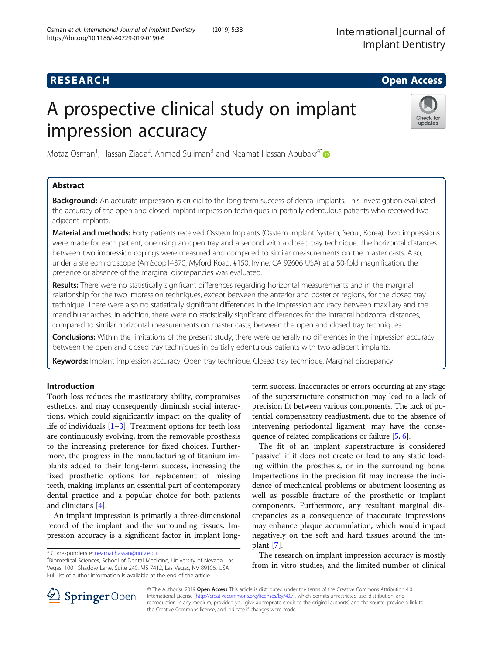## **RESEARCH CHE Open Access**

# A prospective clinical study on implant impression accuracy



Motaz Osman<sup>1</sup>, Hassan Ziada<sup>2</sup>, Ahmed Suliman<sup>3</sup> and Neamat Hassan Abubakr<sup>4\*</sup>

## Abstract

Background: An accurate impression is crucial to the long-term success of dental implants. This investigation evaluated the accuracy of the open and closed implant impression techniques in partially edentulous patients who received two adjacent implants.

Material and methods: Forty patients received Osstem Implants (Osstem Implant System, Seoul, Korea). Two impressions were made for each patient, one using an open tray and a second with a closed tray technique. The horizontal distances between two impression copings were measured and compared to similar measurements on the master casts. Also, under a stereomicroscope (AmScop14370, Myford Road, #150, Irvine, CA 92606 USA) at a 50-fold magnification, the presence or absence of the marginal discrepancies was evaluated.

Results: There were no statistically significant differences regarding horizontal measurements and in the marginal relationship for the two impression techniques, except between the anterior and posterior regions, for the closed tray technique. There were also no statistically significant differences in the impression accuracy between maxillary and the mandibular arches. In addition, there were no statistically significant differences for the intraoral horizontal distances, compared to similar horizontal measurements on master casts, between the open and closed tray techniques.

Conclusions: Within the limitations of the present study, there were generally no differences in the impression accuracy between the open and closed tray techniques in partially edentulous patients with two adjacent implants.

Keywords: Implant impression accuracy, Open tray technique, Closed tray technique, Marginal discrepancy

## Introduction

Tooth loss reduces the masticatory ability, compromises esthetics, and may consequently diminish social interactions, which could significantly impact on the quality of life of individuals  $[1-3]$  $[1-3]$  $[1-3]$  $[1-3]$ . Treatment options for teeth loss are continuously evolving, from the removable prosthesis to the increasing preference for fixed choices. Furthermore, the progress in the manufacturing of titanium implants added to their long-term success, increasing the fixed prosthetic options for replacement of missing teeth, making implants an essential part of contemporary dental practice and a popular choice for both patients and clinicians [[4\]](#page-6-0).

An implant impression is primarily a three-dimensional record of the implant and the surrounding tissues. Impression accuracy is a significant factor in implant longterm success. Inaccuracies or errors occurring at any stage of the superstructure construction may lead to a lack of precision fit between various components. The lack of potential compensatory readjustment, due to the absence of intervening periodontal ligament, may have the consequence of related complications or failure [[5](#page-6-0), [6](#page-6-0)].

The fit of an implant superstructure is considered "passive" if it does not create or lead to any static loading within the prosthesis, or in the surrounding bone. Imperfections in the precision fit may increase the incidence of mechanical problems or abutment loosening as well as possible fracture of the prosthetic or implant components. Furthermore, any resultant marginal discrepancies as a consequence of inaccurate impressions may enhance plaque accumulation, which would impact negatively on the soft and hard tissues around the implant [[7\]](#page-6-0).

The research on implant impression accuracy is mostly from in vitro studies, and the limited number of clinical



© The Author(s). 2019 Open Access This article is distributed under the terms of the Creative Commons Attribution 4.0 International License ([http://creativecommons.org/licenses/by/4.0/\)](http://creativecommons.org/licenses/by/4.0/), which permits unrestricted use, distribution, and reproduction in any medium, provided you give appropriate credit to the original author(s) and the source, provide a link to the Creative Commons license, and indicate if changes were made.

<sup>\*</sup> Correspondence: [neamat.hassan@unlv.edu](mailto:neamat.hassan@unlv.edu) <sup>4</sup>

<sup>&</sup>lt;sup>4</sup>Biomedical Sciences, School of Dental Medicine, University of Nevada, Las Vegas, 1001 Shadow Lane, Suite 240, MS 7412, Las Vegas, NV 89106, USA Full list of author information is available at the end of the article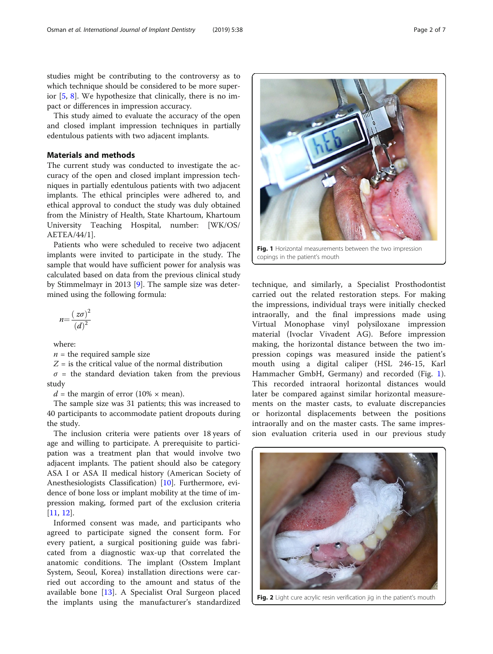<span id="page-1-0"></span>studies might be contributing to the controversy as to which technique should be considered to be more superior [[5](#page-6-0), [8\]](#page-6-0). We hypothesize that clinically, there is no impact or differences in impression accuracy.

This study aimed to evaluate the accuracy of the open and closed implant impression techniques in partially edentulous patients with two adjacent implants.

### Materials and methods

The current study was conducted to investigate the accuracy of the open and closed implant impression techniques in partially edentulous patients with two adjacent implants. The ethical principles were adhered to, and ethical approval to conduct the study was duly obtained from the Ministry of Health, State Khartoum, Khartoum University Teaching Hospital, number: [WK/OS/ AETEA/44/1].

Patients who were scheduled to receive two adjacent implants were invited to participate in the study. The sample that would have sufficient power for analysis was calculated based on data from the previous clinical study by Stimmelmayr in 2013 [[9\]](#page-6-0). The sample size was determined using the following formula:

$$
n=\frac{\left( z\sigma\right) ^{2}}{\left( d\right) ^{2}}
$$

where:

 $n =$  the required sample size

 $Z =$  is the critical value of the normal distribution

 $\sigma$  = the standard deviation taken from the previous study

 $d =$  the margin of error (10%  $\times$  mean).

The sample size was 31 patients; this was increased to 40 participants to accommodate patient dropouts during the study.

The inclusion criteria were patients over 18 years of age and willing to participate. A prerequisite to participation was a treatment plan that would involve two adjacent implants. The patient should also be category ASA I or ASA II medical history (American Society of Anesthesiologists Classification) [[10\]](#page-6-0). Furthermore, evidence of bone loss or implant mobility at the time of impression making, formed part of the exclusion criteria [[11,](#page-6-0) [12\]](#page-6-0).

Informed consent was made, and participants who agreed to participate signed the consent form. For every patient, a surgical positioning guide was fabricated from a diagnostic wax-up that correlated the anatomic conditions. The implant (Osstem Implant System, Seoul, Korea) installation directions were carried out according to the amount and status of the available bone [[13\]](#page-6-0). A Specialist Oral Surgeon placed the implants using the manufacturer's standardized



Fig. 1 Horizontal measurements between the two impression copings in the patient's mouth

technique, and similarly, a Specialist Prosthodontist carried out the related restoration steps. For making the impressions, individual trays were initially checked intraorally, and the final impressions made using Virtual Monophase vinyl polysiloxane impression material (Ivoclar Vivadent AG). Before impression making, the horizontal distance between the two impression copings was measured inside the patient's mouth using a digital caliper (HSL 246-15, Karl Hammacher GmbH, Germany) and recorded (Fig. 1). This recorded intraoral horizontal distances would later be compared against similar horizontal measurements on the master casts, to evaluate discrepancies or horizontal displacements between the positions intraorally and on the master casts. The same impression evaluation criteria used in our previous study



Fig. 2 Light cure acrylic resin verification jig in the patient's mouth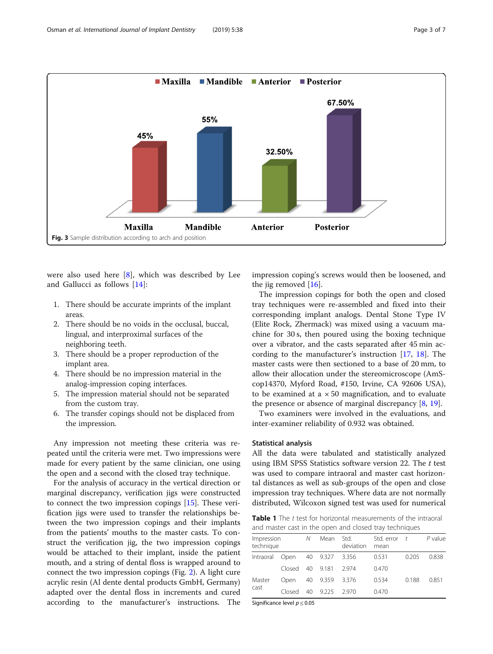<span id="page-2-0"></span>

were also used here  $[8]$  $[8]$ , which was described by Lee and Gallucci as follows [[14\]](#page-6-0):

- 1. There should be accurate imprints of the implant areas.
- 2. There should be no voids in the occlusal, buccal, lingual, and interproximal surfaces of the neighboring teeth.
- 3. There should be a proper reproduction of the implant area.
- 4. There should be no impression material in the analog-impression coping interfaces.
- 5. The impression material should not be separated from the custom tray.
- 6. The transfer copings should not be displaced from the impression.

Any impression not meeting these criteria was repeated until the criteria were met. Two impressions were made for every patient by the same clinician, one using the open and a second with the closed tray technique.

For the analysis of accuracy in the vertical direction or marginal discrepancy, verification jigs were constructed to connect the two impression copings [\[15](#page-6-0)]. These verification jigs were used to transfer the relationships between the two impression copings and their implants from the patients' mouths to the master casts. To construct the verification jig, the two impression copings would be attached to their implant, inside the patient mouth, and a string of dental floss is wrapped around to connect the two impression copings (Fig. [2](#page-1-0)). A light cure acrylic resin (Al dente dental products GmbH, Germany) adapted over the dental floss in increments and cured according to the manufacturer's instructions. The impression coping's screws would then be loosened, and the jig removed  $[16]$  $[16]$ .

The impression copings for both the open and closed tray techniques were re-assembled and fixed into their corresponding implant analogs. Dental Stone Type IV (Elite Rock, Zhermack) was mixed using a vacuum machine for 30 s, then poured using the boxing technique over a vibrator, and the casts separated after 45 min according to the manufacturer's instruction [[17,](#page-6-0) [18\]](#page-6-0). The master casts were then sectioned to a base of 20 mm, to allow their allocation under the stereomicroscope (AmScop14370, Myford Road, #150, Irvine, CA 92606 USA), to be examined at a  $\times$  50 magnification, and to evaluate the presence or absence of marginal discrepancy  $[8, 19]$  $[8, 19]$  $[8, 19]$  $[8, 19]$ .

Two examiners were involved in the evaluations, and inter-examiner reliability of 0.932 was obtained.

#### Statistical analysis

All the data were tabulated and statistically analyzed using IBM SPSS Statistics software version 22. The  $t$  test was used to compare intraoral and master cast horizontal distances as well as sub-groups of the open and close impression tray techniques. Where data are not normally distributed, Wilcoxon signed test was used for numerical

Table 1 The t test for horizontal measurements of the intraoral and master cast in the open and closed tray techniques

| Impression<br>technique |        | N  | Mean     | Std.<br>deviation | Std. error $t$<br>mean |       | $P$ value |
|-------------------------|--------|----|----------|-------------------|------------------------|-------|-----------|
| Intraoral               | Open   |    | 40 9.327 | 3.356             | 0.531                  | 0.205 | 0.838     |
|                         | Closed | 40 | 9.181    | 2974              | 0.470                  |       |           |
| Master<br>cast          | Open   | 40 | 9.359    | 3.376             | 0.534                  | 0.188 | 0.851     |
|                         | Closed | 40 | 9225     | 2970              | 0.470                  |       |           |

Significance level  $p \leq 0.05$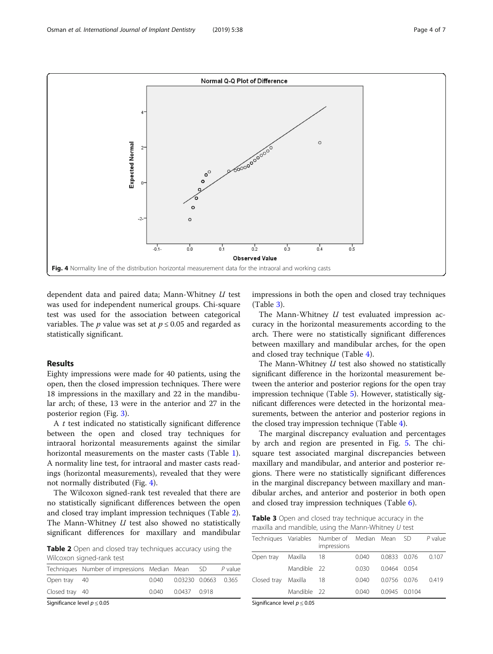

dependent data and paired data; Mann-Whitney U test was used for independent numerical groups. Chi-square test was used for the association between categorical variables. The *p* value was set at  $p \le 0.05$  and regarded as statistically significant.

#### Results

Eighty impressions were made for 40 patients, using the open, then the closed impression techniques. There were 18 impressions in the maxillary and 22 in the mandibular arch; of these, 13 were in the anterior and 27 in the posterior region (Fig. [3\)](#page-2-0).

A t test indicated no statistically significant difference between the open and closed tray techniques for intraoral horizontal measurements against the similar horizontal measurements on the master casts (Table [1](#page-2-0)). A normality line test, for intraoral and master casts readings (horizontal measurements), revealed that they were not normally distributed (Fig. 4).

The Wilcoxon signed-rank test revealed that there are no statistically significant differences between the open and closed tray implant impression techniques (Table 2). The Mann-Whitney  $U$  test also showed no statistically significant differences for maxillary and mandibular

Table 2 Open and closed tray techniques accuracy using the Wilcoxon signed-rank test

|                                    | Techniques Number of impressions Median Mean SD |       |                          | P value |
|------------------------------------|-------------------------------------------------|-------|--------------------------|---------|
| Open tray 40                       |                                                 | 0.040 | 0.03230 0.0663 0.365     |         |
| Closed tray 40                     |                                                 |       | $0.040$ $0.0437$ $0.918$ |         |
| $\sim$ $\sim$ $\sim$ $\sim$ $\sim$ |                                                 |       |                          |         |

Significance level  $p \leq 0.05$ 

impressions in both the open and closed tray techniques (Table 3).

The Mann-Whitney  $U$  test evaluated impression accuracy in the horizontal measurements according to the arch. There were no statistically significant differences between maxillary and mandibular arches, for the open and closed tray technique (Table [4\)](#page-4-0).

The Mann-Whitney *U* test also showed no statistically significant difference in the horizontal measurement between the anterior and posterior regions for the open tray impression technique (Table [5\)](#page-4-0). However, statistically significant differences were detected in the horizontal measurements, between the anterior and posterior regions in the closed tray impression technique (Table [4](#page-4-0)).

The marginal discrepancy evaluation and percentages by arch and region are presented in Fig. [5.](#page-5-0) The chisquare test associated marginal discrepancies between maxillary and mandibular, and anterior and posterior regions. There were no statistically significant differences in the marginal discrepancy between maxillary and mandibular arches, and anterior and posterior in both open and closed tray impression techniques (Table [6](#page-5-0)).

Table 3 Open and closed tray technique accuracy in the maxilla and mandible, using the Mann-Whitney U test

|             |             | Techniques Variables Number of Median Mean SD<br>impressions |       |              |               | $P$ value |
|-------------|-------------|--------------------------------------------------------------|-------|--------------|---------------|-----------|
| Open tray   | Maxilla     | - 18                                                         | 0.040 | 0.0833 0.076 |               | 0.107     |
|             | Mandible 22 |                                                              | 0.030 | 0.0464 0.054 |               |           |
| Closed tray | Maxilla     | - 18                                                         | 0.040 | 0.0756 0.076 |               | 0.419     |
|             | Mandible 22 |                                                              | 0.040 |              | 0.0945 0.0104 |           |

Significance level  $p \leq 0.05$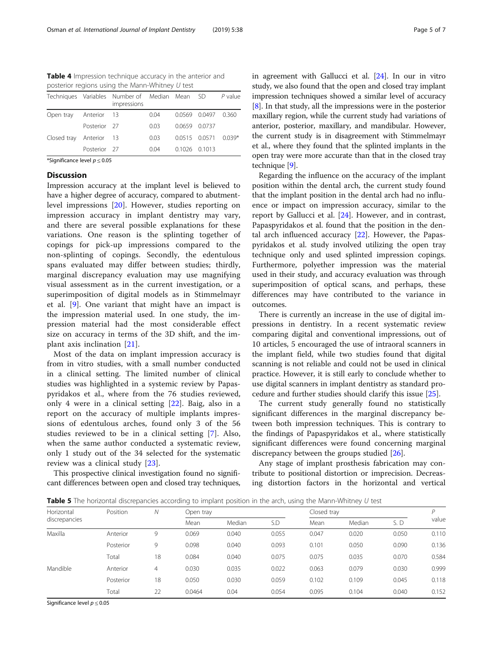|                         |              | Techniques Variables Number of Median Mean SD<br>impressions |      |               |                            | $P$ value |
|-------------------------|--------------|--------------------------------------------------------------|------|---------------|----------------------------|-----------|
| Open tray               | Anterior 13  |                                                              | 0.04 |               | 0.0569 0.0497              | 0360      |
|                         | Posterior 27 |                                                              | 0.03 | 0.0659 0.0737 |                            |           |
| Closed tray Anterior 13 |              |                                                              | 0.03 |               | $0.0515$ $0.0571$ $0.039*$ |           |
|                         | Posterior 27 |                                                              | 0.04 | 0.1026 0.1013 |                            |           |

<span id="page-4-0"></span>Table 4 Impression technique accuracy in the anterior and posterior regions using the Mann-Whitney  $U$  test

\*Significance level  $p \le 0.05$ 

## **Discussion**

Impression accuracy at the implant level is believed to have a higher degree of accuracy, compared to abutmentlevel impressions [[20](#page-6-0)]. However, studies reporting on impression accuracy in implant dentistry may vary, and there are several possible explanations for these variations. One reason is the splinting together of copings for pick-up impressions compared to the non-splinting of copings. Secondly, the edentulous spans evaluated may differ between studies; thirdly, marginal discrepancy evaluation may use magnifying visual assessment as in the current investigation, or a superimposition of digital models as in Stimmelmayr et al. [\[9](#page-6-0)]. One variant that might have an impact is the impression material used. In one study, the impression material had the most considerable effect size on accuracy in terms of the 3D shift, and the implant axis inclination [\[21](#page-6-0)].

Most of the data on implant impression accuracy is from in vitro studies, with a small number conducted in a clinical setting. The limited number of clinical studies was highlighted in a systemic review by Papaspyridakos et al., where from the 76 studies reviewed, only 4 were in a clinical setting [[22\]](#page-6-0). Baig, also in a report on the accuracy of multiple implants impressions of edentulous arches, found only 3 of the 56 studies reviewed to be in a clinical setting [[7](#page-6-0)]. Also, when the same author conducted a systematic review, only 1 study out of the 34 selected for the systematic review was a clinical study [\[23](#page-6-0)].

This prospective clinical investigation found no significant differences between open and closed tray techniques, in agreement with Gallucci et al. [[24](#page-6-0)]. In our in vitro study, we also found that the open and closed tray implant impression techniques showed a similar level of accuracy [[8\]](#page-6-0). In that study, all the impressions were in the posterior maxillary region, while the current study had variations of anterior, posterior, maxillary, and mandibular. However, the current study is in disagreement with Stimmelmayr et al., where they found that the splinted implants in the open tray were more accurate than that in the closed tray technique [[9\]](#page-6-0).

Regarding the influence on the accuracy of the implant position within the dental arch, the current study found that the implant position in the dental arch had no influence or impact on impression accuracy, similar to the report by Gallucci et al. [[24](#page-6-0)]. However, and in contrast, Papaspyridakos et al. found that the position in the dental arch influenced accuracy  $[22]$  $[22]$  $[22]$ . However, the Papaspyridakos et al. study involved utilizing the open tray technique only and used splinted impression copings. Furthermore, polyether impression was the material used in their study, and accuracy evaluation was through superimposition of optical scans, and perhaps, these differences may have contributed to the variance in outcomes.

There is currently an increase in the use of digital impressions in dentistry. In a recent systematic review comparing digital and conventional impressions, out of 10 articles, 5 encouraged the use of intraoral scanners in the implant field, while two studies found that digital scanning is not reliable and could not be used in clinical practice. However, it is still early to conclude whether to use digital scanners in implant dentistry as standard procedure and further studies should clarify this issue [\[25](#page-6-0)].

The current study generally found no statistically significant differences in the marginal discrepancy between both impression techniques. This is contrary to the findings of Papaspyridakos et al., where statistically significant differences were found concerning marginal discrepancy between the groups studied [[26](#page-6-0)].

Any stage of implant prosthesis fabrication may contribute to positional distortion or imprecision. Decreasing distortion factors in the horizontal and vertical

Table 5 The horizontal discrepancies according to implant position in the arch, using the Mann-Whitney U test

| Horizontal<br>discrepancies | Position  | N  | Open tray |        |       |       | Closed tray |       |       |
|-----------------------------|-----------|----|-----------|--------|-------|-------|-------------|-------|-------|
|                             |           |    | Mean      | Median | S.D   | Mean  | Median      | S.D   | value |
| Maxilla                     | Anterior  | 9  | 0.069     | 0.040  | 0.055 | 0.047 | 0.020       | 0.050 | 0.110 |
|                             | Posterior | 9  | 0.098     | 0.040  | 0.093 | 0.101 | 0.050       | 0.090 | 0.136 |
|                             | Total     | 18 | 0.084     | 0.040  | 0.075 | 0.075 | 0.035       | 0.070 | 0.584 |
| Mandible                    | Anterior  | 4  | 0.030     | 0.035  | 0.022 | 0.063 | 0.079       | 0.030 | 0.999 |
|                             | Posterior | 18 | 0.050     | 0.030  | 0.059 | 0.102 | 0.109       | 0.045 | 0.118 |
|                             | Total     | 22 | 0.0464    | 0.04   | 0.054 | 0.095 | 0.104       | 0.040 | 0.152 |

Significance level  $p \leq 0.05$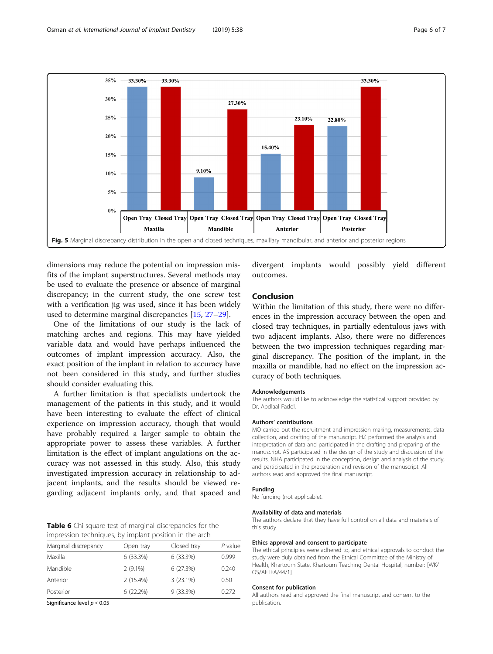<span id="page-5-0"></span>

dimensions may reduce the potential on impression misfits of the implant superstructures. Several methods may be used to evaluate the presence or absence of marginal discrepancy; in the current study, the one screw test with a verification jig was used, since it has been widely used to determine marginal discrepancies [\[15,](#page-6-0) [27](#page-6-0)–[29\]](#page-6-0).

One of the limitations of our study is the lack of matching arches and regions. This may have yielded variable data and would have perhaps influenced the outcomes of implant impression accuracy. Also, the exact position of the implant in relation to accuracy have not been considered in this study, and further studies should consider evaluating this.

A further limitation is that specialists undertook the management of the patients in this study, and it would have been interesting to evaluate the effect of clinical experience on impression accuracy, though that would have probably required a larger sample to obtain the appropriate power to assess these variables. A further limitation is the effect of implant angulations on the accuracy was not assessed in this study. Also, this study investigated impression accuracy in relationship to adjacent implants, and the results should be viewed regarding adjacent implants only, and that spaced and

Table 6 Chi-square test of marginal discrepancies for the impression techniques, by implant position in the arch

| Marginal discrepancy | Open tray  | Closed tray | $P$ value |
|----------------------|------------|-------------|-----------|
| Maxilla              | 6(33.3%)   | 6(33.3%)    | 0.999     |
| Mandible             | $2(9.1\%)$ | 6(27.3%)    | 0.240     |
| Anterior             | 2(15.4%)   | 3(23.1%)    | 0.50      |
| Posterior            | 6(22.2%)   | 9 (33.3%)   | 0.272     |
|                      |            |             |           |

Significance level  $p \leq 0.05$ 

divergent implants would possibly yield different outcomes.

## Conclusion

Within the limitation of this study, there were no differences in the impression accuracy between the open and closed tray techniques, in partially edentulous jaws with two adjacent implants. Also, there were no differences between the two impression techniques regarding marginal discrepancy. The position of the implant, in the maxilla or mandible, had no effect on the impression accuracy of both techniques.

#### Acknowledgements

The authors would like to acknowledge the statistical support provided by Dr. Abdlaal Fadol.

#### Authors' contributions

MO carried out the recruitment and impression making, measurements, data collection, and drafting of the manuscript. HZ performed the analysis and interpretation of data and participated in the drafting and preparing of the manuscript. AS participated in the design of the study and discussion of the results. NHA participated in the conception, design and analysis of the study, and participated in the preparation and revision of the manuscript. All authors read and approved the final manuscript.

#### Funding

No funding (not applicable).

#### Availability of data and materials

The authors declare that they have full control on all data and materials of this study.

#### Ethics approval and consent to participate

The ethical principles were adhered to, and ethical approvals to conduct the study were duly obtained from the Ethical Committee of the Ministry of Health, Khartoum State, Khartoum Teaching Dental Hospital, number: [WK/ OS/AETEA/44/1].

#### Consent for publication

All authors read and approved the final manuscript and consent to the publication.